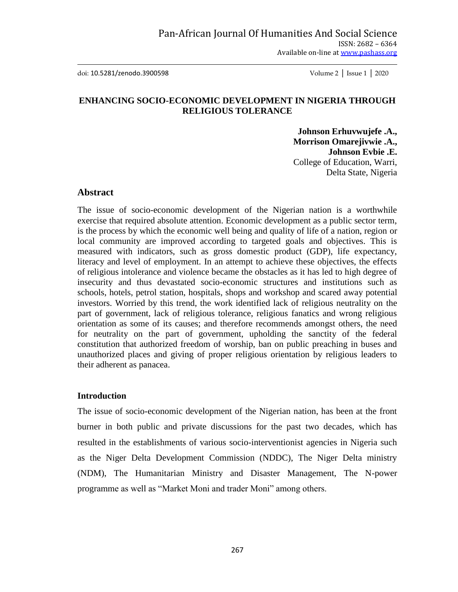doi: 10.5281/zenodo.3900598 Volume 2 │ Issue 1 │ 2020

# **ENHANCING SOCIO-ECONOMIC DEVELOPMENT IN NIGERIA THROUGH RELIGIOUS TOLERANCE**

**Johnson Erhuvwujefe .A., Morrison Omarejivwie .A., Johnson Evbie .E.** College of Education, Warri, Delta State, Nigeria

#### **Abstract**

The issue of socio-economic development of the Nigerian nation is a worthwhile exercise that required absolute attention. Economic development as a public sector term, is the process by which the economic well being and quality of life of a nation, region or local community are improved according to targeted goals and objectives. This is measured with indicators, such as gross domestic product (GDP), life expectancy, literacy and level of employment. In an attempt to achieve these objectives, the effects of religious intolerance and violence became the obstacles as it has led to high degree of insecurity and thus devastated socio-economic structures and institutions such as schools, hotels, petrol station, hospitals, shops and workshop and scared away potential investors. Worried by this trend, the work identified lack of religious neutrality on the part of government, lack of religious tolerance, religious fanatics and wrong religious orientation as some of its causes; and therefore recommends amongst others, the need for neutrality on the part of government, upholding the sanctity of the federal constitution that authorized freedom of worship, ban on public preaching in buses and unauthorized places and giving of proper religious orientation by religious leaders to their adherent as panacea.

#### **Introduction**

The issue of socio-economic development of the Nigerian nation, has been at the front burner in both public and private discussions for the past two decades, which has resulted in the establishments of various socio-interventionist agencies in Nigeria such as the Niger Delta Development Commission (NDDC), The Niger Delta ministry (NDM), The Humanitarian Ministry and Disaster Management, The N-power programme as well as "Market Moni and trader Moni" among others.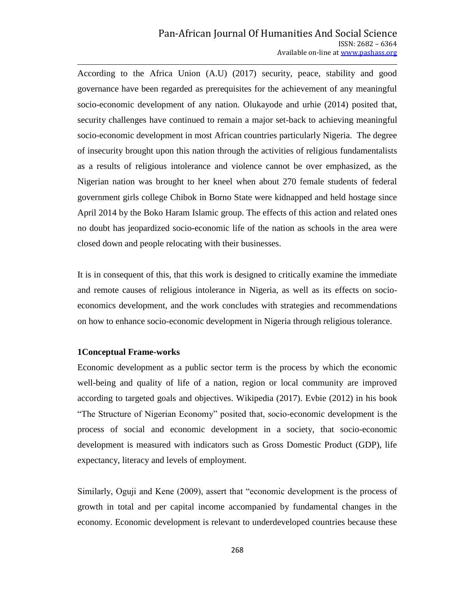According to the Africa Union (A.U) (2017) security, peace, stability and good governance have been regarded as prerequisites for the achievement of any meaningful socio-economic development of any nation. Olukayode and urhie (2014) posited that, security challenges have continued to remain a major set-back to achieving meaningful socio-economic development in most African countries particularly Nigeria. The degree of insecurity brought upon this nation through the activities of religious fundamentalists as a results of religious intolerance and violence cannot be over emphasized, as the Nigerian nation was brought to her kneel when about 270 female students of federal government girls college Chibok in Borno State were kidnapped and held hostage since April 2014 by the Boko Haram Islamic group. The effects of this action and related ones no doubt has jeopardized socio-economic life of the nation as schools in the area were closed down and people relocating with their businesses.

It is in consequent of this, that this work is designed to critically examine the immediate and remote causes of religious intolerance in Nigeria, as well as its effects on socioeconomics development, and the work concludes with strategies and recommendations on how to enhance socio-economic development in Nigeria through religious tolerance.

# **1Conceptual Frame-works**

Economic development as a public sector term is the process by which the economic well-being and quality of life of a nation, region or local community are improved according to targeted goals and objectives. Wikipedia (2017). Evbie (2012) in his book "The Structure of Nigerian Economy" posited that, socio-economic development is the process of social and economic development in a society, that socio-economic development is measured with indicators such as Gross Domestic Product (GDP), life expectancy, literacy and levels of employment.

Similarly, Oguji and Kene (2009), assert that "economic development is the process of growth in total and per capital income accompanied by fundamental changes in the economy. Economic development is relevant to underdeveloped countries because these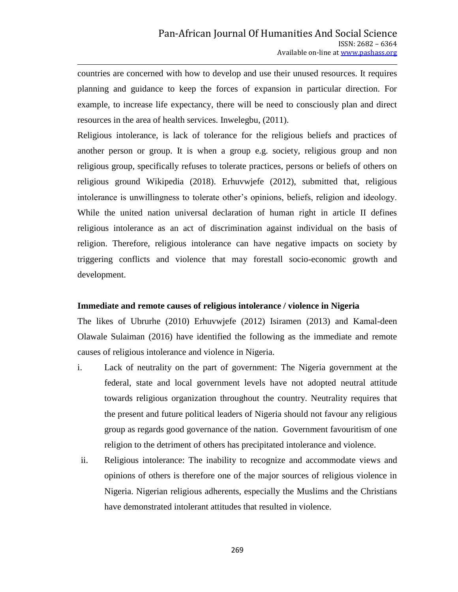countries are concerned with how to develop and use their unused resources. It requires planning and guidance to keep the forces of expansion in particular direction. For example, to increase life expectancy, there will be need to consciously plan and direct resources in the area of health services. Inwelegbu, (2011).

Religious intolerance, is lack of tolerance for the religious beliefs and practices of another person or group. It is when a group e.g. society, religious group and non religious group, specifically refuses to tolerate practices, persons or beliefs of others on religious ground Wikipedia (2018). Erhuvwjefe (2012), submitted that, religious intolerance is unwillingness to tolerate other"s opinions, beliefs, religion and ideology. While the united nation universal declaration of human right in article II defines religious intolerance as an act of discrimination against individual on the basis of religion. Therefore, religious intolerance can have negative impacts on society by triggering conflicts and violence that may forestall socio-economic growth and development.

### **Immediate and remote causes of religious intolerance / violence in Nigeria**

The likes of Ubrurhe (2010) Erhuvwjefe (2012) Isiramen (2013) and Kamal-deen Olawale Sulaiman (2016) have identified the following as the immediate and remote causes of religious intolerance and violence in Nigeria.

- i. Lack of neutrality on the part of government: The Nigeria government at the federal, state and local government levels have not adopted neutral attitude towards religious organization throughout the country. Neutrality requires that the present and future political leaders of Nigeria should not favour any religious group as regards good governance of the nation. Government favouritism of one religion to the detriment of others has precipitated intolerance and violence.
- ii. Religious intolerance: The inability to recognize and accommodate views and opinions of others is therefore one of the major sources of religious violence in Nigeria. Nigerian religious adherents, especially the Muslims and the Christians have demonstrated intolerant attitudes that resulted in violence.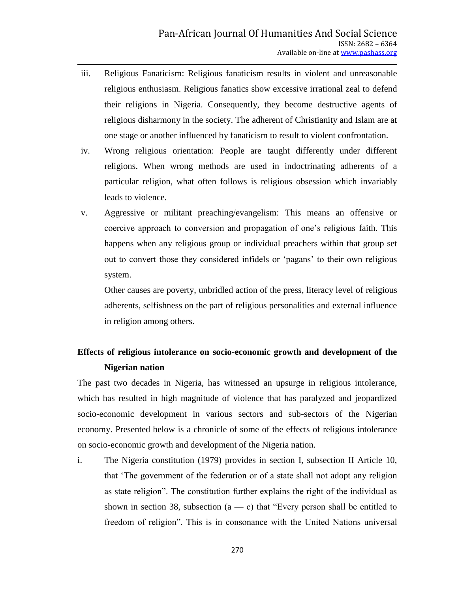- iii. Religious Fanaticism: Religious fanaticism results in violent and unreasonable religious enthusiasm. Religious fanatics show excessive irrational zeal to defend their religions in Nigeria. Consequently, they become destructive agents of religious disharmony in the society. The adherent of Christianity and Islam are at one stage or another influenced by fanaticism to result to violent confrontation.
- iv. Wrong religious orientation: People are taught differently under different religions. When wrong methods are used in indoctrinating adherents of a particular religion, what often follows is religious obsession which invariably leads to violence.
- v. Aggressive or militant preaching/evangelism: This means an offensive or coercive approach to conversion and propagation of one"s religious faith. This happens when any religious group or individual preachers within that group set out to convert those they considered infidels or "pagans" to their own religious system.

Other causes are poverty, unbridled action of the press, literacy level of religious adherents, selfishness on the part of religious personalities and external influence in religion among others.

# **Effects of religious intolerance on socio-economic growth and development of the Nigerian nation**

The past two decades in Nigeria, has witnessed an upsurge in religious intolerance, which has resulted in high magnitude of violence that has paralyzed and jeopardized socio-economic development in various sectors and sub-sectors of the Nigerian economy. Presented below is a chronicle of some of the effects of religious intolerance on socio-economic growth and development of the Nigeria nation.

i. The Nigeria constitution (1979) provides in section I, subsection II Article 10, that "The government of the federation or of a state shall not adopt any religion as state religion". The constitution further explains the right of the individual as shown in section 38, subsection  $(a - c)$  that "Every person shall be entitled to freedom of religion". This is in consonance with the United Nations universal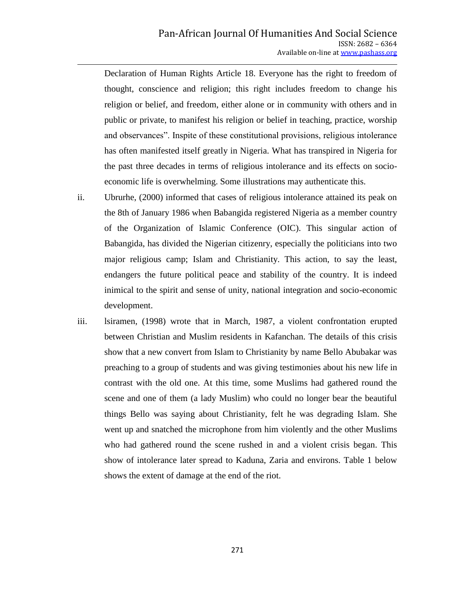Declaration of Human Rights Article 18. Everyone has the right to freedom of thought, conscience and religion; this right includes freedom to change his religion or belief, and freedom, either alone or in community with others and in public or private, to manifest his religion or belief in teaching, practice, worship and observances". Inspite of these constitutional provisions, religious intolerance has often manifested itself greatly in Nigeria. What has transpired in Nigeria for the past three decades in terms of religious intolerance and its effects on socioeconomic life is overwhelming. Some illustrations may authenticate this.

- ii. Ubrurhe, (2000) informed that cases of religious intolerance attained its peak on the 8th of January 1986 when Babangida registered Nigeria as a member country of the Organization of Islamic Conference (OIC). This singular action of Babangida, has divided the Nigerian citizenry, especially the politicians into two major religious camp; Islam and Christianity. This action, to say the least, endangers the future political peace and stability of the country. It is indeed inimical to the spirit and sense of unity, national integration and socio-economic development.
- iii. lsiramen, (1998) wrote that in March, 1987, a violent confrontation erupted between Christian and Muslim residents in Kafanchan. The details of this crisis show that a new convert from Islam to Christianity by name Bello Abubakar was preaching to a group of students and was giving testimonies about his new life in contrast with the old one. At this time, some Muslims had gathered round the scene and one of them (a lady Muslim) who could no longer bear the beautiful things Bello was saying about Christianity, felt he was degrading Islam. She went up and snatched the microphone from him violently and the other Muslims who had gathered round the scene rushed in and a violent crisis began. This show of intolerance later spread to Kaduna, Zaria and environs. Table 1 below shows the extent of damage at the end of the riot.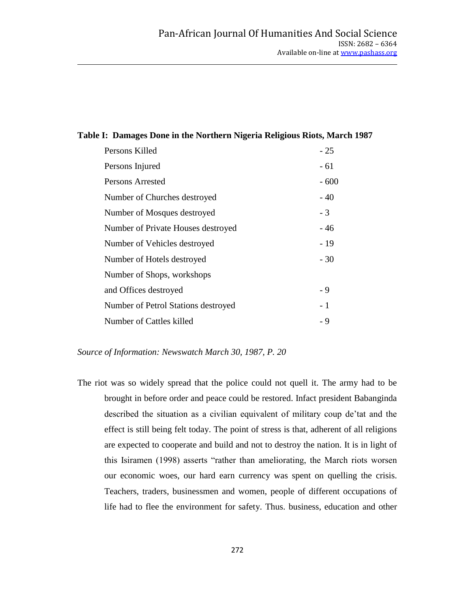# **Table I: Damages Done in the Northern Nigeria Religious Riots, March 1987**

| Persons Killed                      | $-25$  |
|-------------------------------------|--------|
| Persons Injured                     | - 61   |
| Persons Arrested                    | $-600$ |
| Number of Churches destroyed        | $-40$  |
| Number of Mosques destroyed         | - 3    |
| Number of Private Houses destroyed  | - 46   |
| Number of Vehicles destroyed        | $-19$  |
| Number of Hotels destroyed          | $-30$  |
| Number of Shops, workshops          |        |
| and Offices destroyed               | - 9    |
| Number of Petrol Stations destroyed | $-1$   |
| Number of Cattles killed            | - 9    |

*Source of Information: Newswatch March 30, 1987, P. 20*

The riot was so widely spread that the police could not quell it. The army had to be brought in before order and peace could be restored. Infact president Babanginda described the situation as a civilian equivalent of military coup de"tat and the effect is still being felt today. The point of stress is that, adherent of all religions are expected to cooperate and build and not to destroy the nation. It is in light of this Isiramen (1998) asserts "rather than ameliorating, the March riots worsen our economic woes, our hard earn currency was spent on quelling the crisis. Teachers, traders, businessmen and women, people of different occupations of life had to flee the environment for safety. Thus. business, education and other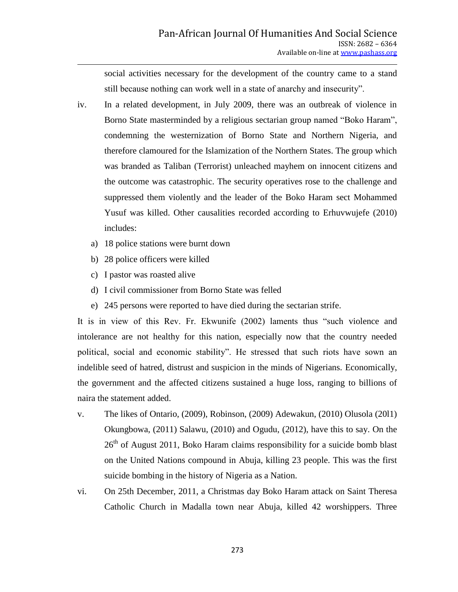social activities necessary for the development of the country came to a stand still because nothing can work well in a state of anarchy and insecurity".

- iv. In a related development, in July 2009, there was an outbreak of violence in Borno State masterminded by a religious sectarian group named "Boko Haram", condemning the westernization of Borno State and Northern Nigeria, and therefore clamoured for the Islamization of the Northern States. The group which was branded as Taliban (Terrorist) unleached mayhem on innocent citizens and the outcome was catastrophic. The security operatives rose to the challenge and suppressed them violently and the leader of the Boko Haram sect Mohammed Yusuf was killed. Other causalities recorded according to Erhuvwujefe (2010) includes:
	- a) 18 police stations were burnt down
	- b) 28 police officers were killed
	- c) I pastor was roasted alive
	- d) I civil commissioner from Borno State was felled
	- e) 245 persons were reported to have died during the sectarian strife.

It is in view of this Rev. Fr. Ekwunife (2002) laments thus "such violence and intolerance are not healthy for this nation, especially now that the country needed political, social and economic stability". He stressed that such riots have sown an indelible seed of hatred, distrust and suspicion in the minds of Nigerians. Economically, the government and the affected citizens sustained a huge loss, ranging to billions of naira the statement added.

- v. The likes of Ontario, (2009), Robinson, (2009) Adewakun, (2010) Olusola (20l1) Okungbowa, (2011) Salawu, (2010) and Ogudu, (2012), have this to say. On the  $26<sup>th</sup>$  of August 2011, Boko Haram claims responsibility for a suicide bomb blast on the United Nations compound in Abuja, killing 23 people. This was the first suicide bombing in the history of Nigeria as a Nation.
- vi. On 25th December, 2011, a Christmas day Boko Haram attack on Saint Theresa Catholic Church in Madalla town near Abuja, killed 42 worshippers. Three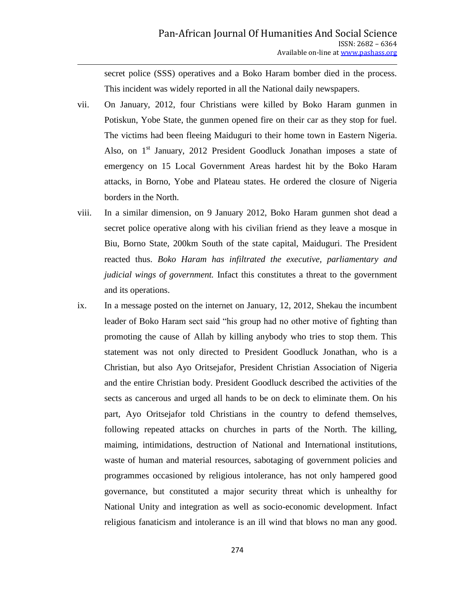secret police (SSS) operatives and a Boko Haram bomber died in the process. This incident was widely reported in all the National daily newspapers.

- vii. On January, 2012, four Christians were killed by Boko Haram gunmen in Potiskun, Yobe State, the gunmen opened fire on their car as they stop for fuel. The victims had been fleeing Maiduguri to their home town in Eastern Nigeria. Also, on  $1<sup>st</sup>$  January, 2012 President Goodluck Jonathan imposes a state of emergency on 15 Local Government Areas hardest hit by the Boko Haram attacks, in Borno, Yobe and Plateau states. He ordered the closure of Nigeria borders in the North.
- viii. In a similar dimension, on 9 January 2012, Boko Haram gunmen shot dead a secret police operative along with his civilian friend as they leave a mosque in Biu, Borno State, 200km South of the state capital, Maiduguri. The President reacted thus. *Boko Haram has infiltrated the executive, parliamentary and judicial wings of government.* Infact this constitutes a threat to the government and its operations.
- ix. In a message posted on the internet on January, 12, 2012, Shekau the incumbent leader of Boko Haram sect said "his group had no other motive of fighting than promoting the cause of Allah by killing anybody who tries to stop them. This statement was not only directed to President Goodluck Jonathan, who is a Christian, but also Ayo Oritsejafor, President Christian Association of Nigeria and the entire Christian body. President Goodluck described the activities of the sects as cancerous and urged all hands to be on deck to eliminate them. On his part, Ayo Oritsejafor told Christians in the country to defend themselves, following repeated attacks on churches in parts of the North. The killing, maiming, intimidations, destruction of National and International institutions, waste of human and material resources, sabotaging of government policies and programmes occasioned by religious intolerance, has not only hampered good governance, but constituted a major security threat which is unhealthy for National Unity and integration as well as socio-economic development. Infact religious fanaticism and intolerance is an ill wind that blows no man any good.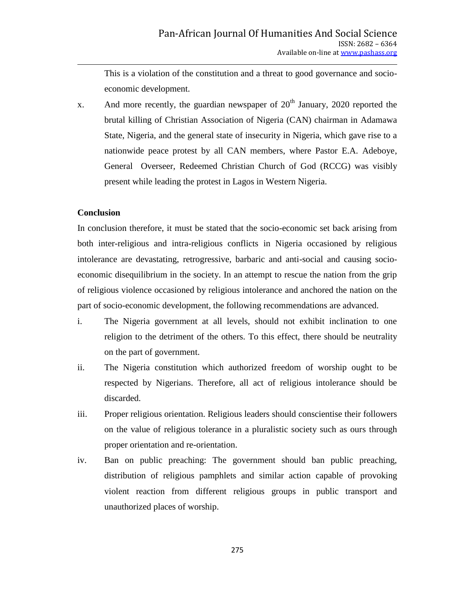This is a violation of the constitution and a threat to good governance and socioeconomic development.

x. And more recently, the guardian newspaper of  $20<sup>th</sup>$  January, 2020 reported the brutal killing of Christian Association of Nigeria (CAN) chairman in Adamawa State, Nigeria, and the general state of insecurity in Nigeria, which gave rise to a nationwide peace protest by all CAN members, where Pastor E.A. Adeboye, General Overseer, Redeemed Christian Church of God (RCCG) was visibly present while leading the protest in Lagos in Western Nigeria.

#### **Conclusion**

In conclusion therefore, it must be stated that the socio-economic set back arising from both inter-religious and intra-religious conflicts in Nigeria occasioned by religious intolerance are devastating, retrogressive, barbaric and anti-social and causing socioeconomic disequilibrium in the society. In an attempt to rescue the nation from the grip of religious violence occasioned by religious intolerance and anchored the nation on the part of socio-economic development, the following recommendations are advanced.

- i. The Nigeria government at all levels, should not exhibit inclination to one religion to the detriment of the others. To this effect, there should be neutrality on the part of government.
- ii. The Nigeria constitution which authorized freedom of worship ought to be respected by Nigerians. Therefore, all act of religious intolerance should be discarded.
- iii. Proper religious orientation. Religious leaders should conscientise their followers on the value of religious tolerance in a pluralistic society such as ours through proper orientation and re-orientation.
- iv. Ban on public preaching: The government should ban public preaching, distribution of religious pamphlets and similar action capable of provoking violent reaction from different religious groups in public transport and unauthorized places of worship.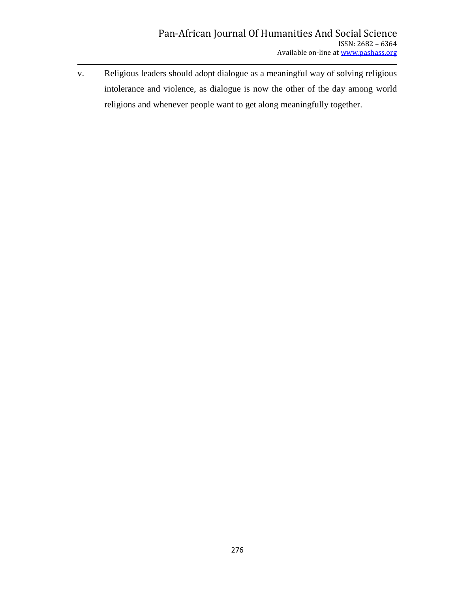v. Religious leaders should adopt dialogue as a meaningful way of solving religious intolerance and violence, as dialogue is now the other of the day among world religions and whenever people want to get along meaningfully together.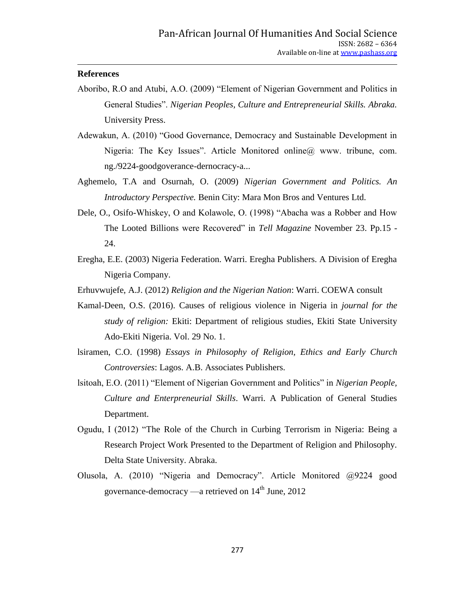#### **References**

- Aboribo, R.O and Atubi, A.O. (2009) "Element of Nigerian Government and Politics in General Studies". *Nigerian Peoples, Culture and Entrepreneurial Skills. Abraka.* University Press.
- Adewakun, A. (2010) "Good Governance, Democracy and Sustainable Development in Nigeria: The Key Issues". Article Monitored online@ www. tribune, com. ng./9224-goodgoverance-dernocracy-a...
- Aghemelo, T.A and Osurnah, O. (2009) *Nigerian Government and Politics. An Introductory Perspective.* Benin City: Mara Mon Bros and Ventures Ltd.
- Dele, O., Osifo-Whiskey, O and Kolawole, O. (1998) "Abacha was a Robber and How The Looted Billions were Recovered" in *Tell Magazine* November 23. Pp.15 - 24.
- Eregha, E.E. (2003) Nigeria Federation. Warri. Eregha Publishers. A Division of Eregha Nigeria Company.
- Erhuvwujefe, A.J. (2012) *Religion and the Nigerian Nation*: Warri. COEWA consult
- Kamal-Deen, O.S. (2016). Causes of religious violence in Nigeria in *journal for the study of religion:* Ekiti: Department of religious studies, Ekiti State University Ado-Ekiti Nigeria. Vol. 29 No. 1.
- lsiramen, C.O. (1998) *Essays in Philosophy of Religion, Ethics and Early Church Controversies*: Lagos. A.B. Associates Publishers.
- lsitoah, E.O. (2011) "Element of Nigerian Government and Politics" in *Nigerian People, Culture and Enterpreneurial Skills*. Warri. A Publication of General Studies Department.
- Ogudu, I (2012) "The Role of the Church in Curbing Terrorism in Nigeria: Being a Research Project Work Presented to the Department of Religion and Philosophy. Delta State University. Abraka.
- Olusola, A. (2010) "Nigeria and Democracy". Article Monitored @9224 good governance-democracy —a retrieved on  $14<sup>th</sup>$  June, 2012